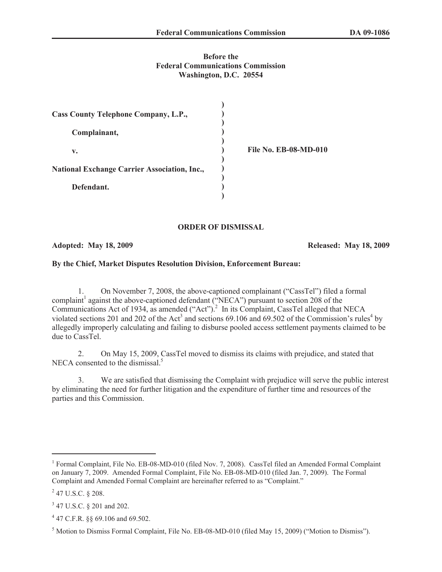## **Before the Federal Communications Commission Washington, D.C. 20554**

| Cass County Telephone Company, L.P.,                |                              |
|-----------------------------------------------------|------------------------------|
| Complainant,                                        |                              |
| v.                                                  | <b>File No. EB-08-MD-010</b> |
| <b>National Exchange Carrier Association, Inc.,</b> |                              |
| Defendant.                                          |                              |

#### **ORDER OF DISMISSAL**

### **Adopted: May 18, 2009 Released: May 18, 2009**

# **By the Chief, Market Disputes Resolution Division, Enforcement Bureau:**

1. On November 7, 2008, the above-captioned complainant ("CassTel") filed a formal complaint<sup>1</sup> against the above-captioned defendant ("NECA") pursuant to section 208 of the Communications Act of 1934, as amended ("Act").<sup>2</sup> In its Complaint, CassTel alleged that NECA violated sections 201 and 202 of the Act<sup>3</sup> and sections 69.106 and 69.502 of the Commission's rules<sup>4</sup> by allegedly improperly calculating and failing to disburse pooled access settlement payments claimed to be due to CassTel.

2. On May 15, 2009, CassTel moved to dismiss its claims with prejudice, and stated that NECA consented to the dismissal.<sup>5</sup>

3. We are satisfied that dismissing the Complaint with prejudice will serve the public interest by eliminating the need for further litigation and the expenditure of further time and resources of the parties and this Commission.

<sup>&</sup>lt;sup>1</sup> Formal Complaint, File No. EB-08-MD-010 (filed Nov. 7, 2008). CassTel filed an Amended Formal Complaint on January 7, 2009. Amended Formal Complaint, File No. EB-08-MD-010 (filed Jan. 7, 2009). The Formal Complaint and Amended Formal Complaint are hereinafter referred to as "Complaint."

 $^{2}$  47 U.S.C. § 208.

<sup>&</sup>lt;sup>3</sup> 47 U.S.C. § 201 and 202.

<sup>4</sup> 47 C.F.R. §§ 69.106 and 69.502.

<sup>5</sup> Motion to Dismiss Formal Complaint, File No. EB-08-MD-010 (filed May 15, 2009) ("Motion to Dismiss").